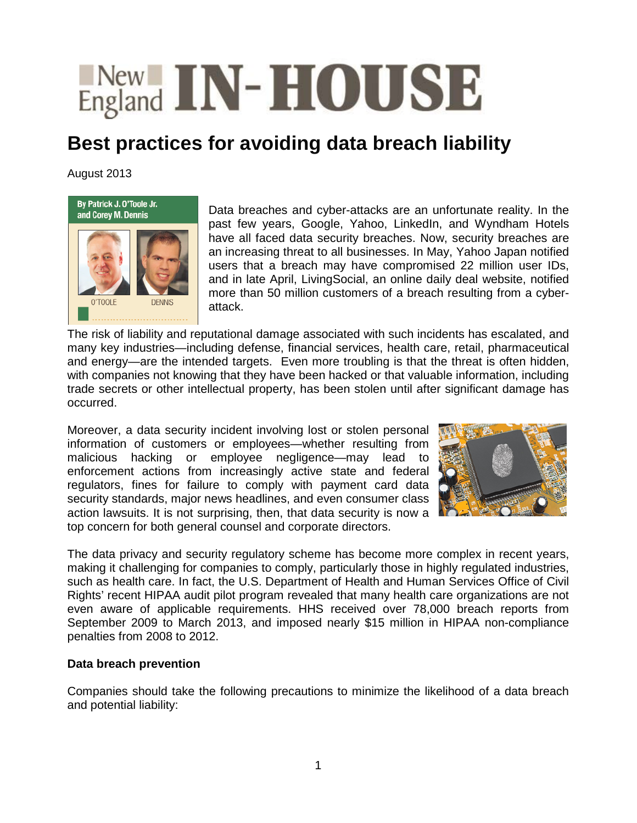## **England IN-HOUSE**

## **Best practices for avoiding data breach liability**

August 2013



Data breaches and cyber-attacks are an unfortunate reality. In the past few years, Google, Yahoo, LinkedIn, and Wyndham Hotels have all faced data security breaches. Now, security breaches are an increasing threat to all businesses. In May, Yahoo Japan notified users that a breach may have compromised 22 million user IDs, and in late April, LivingSocial, an online daily deal website, notified more than 50 million customers of a breach resulting from a cyberattack.

The risk of liability and reputational damage associated with such incidents has escalated, and many key industries—including defense, financial services, health care, retail, pharmaceutical and energy—are the intended targets. Even more troubling is that the threat is often hidden, with companies not knowing that they have been hacked or that valuable information, including trade secrets or other intellectual property, has been stolen until after significant damage has occurred.

Moreover, a data security incident involving lost or stolen personal information of customers or employees—whether resulting from malicious hacking or employee negligence—may lead to enforcement actions from increasingly active state and federal regulators, fines for failure to comply with payment card data security standards, major news headlines, and even consumer class action lawsuits. It is not surprising, then, that data security is now a top concern for both general counsel and corporate directors.



The data privacy and security regulatory scheme has become more complex in recent years, making it challenging for companies to comply, particularly those in highly regulated industries, such as health care. In fact, the U.S. Department of Health and Human Services Office of Civil Rights' recent HIPAA audit pilot program revealed that many health care organizations are not even aware of applicable requirements. HHS received over 78,000 breach reports from September 2009 to March 2013, and imposed nearly \$15 million in HIPAA non-compliance penalties from 2008 to 2012.

## **Data breach prevention**

Companies should take the following precautions to minimize the likelihood of a data breach and potential liability: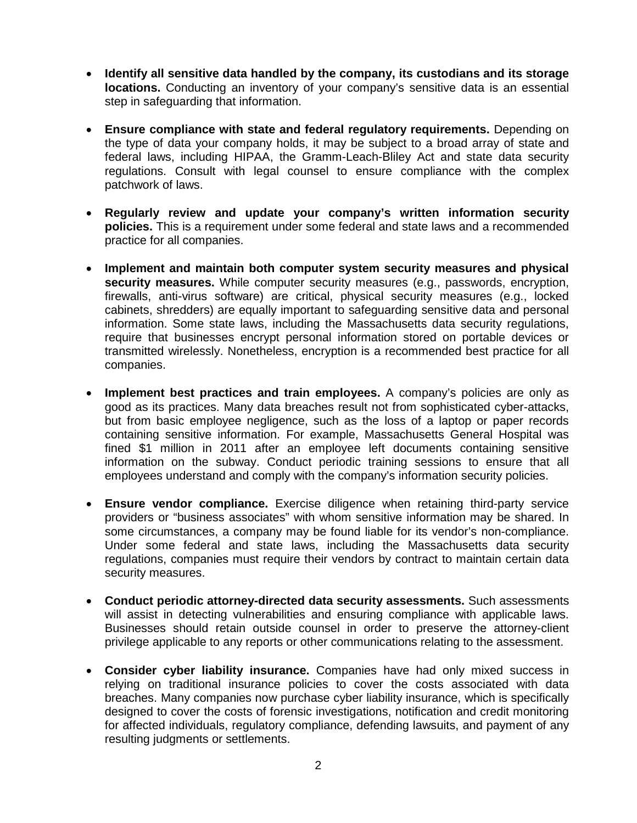- **Identify all sensitive data handled by the company, its custodians and its storage locations.** Conducting an inventory of your company's sensitive data is an essential step in safeguarding that information.
- **Ensure compliance with state and federal regulatory requirements.** Depending on the type of data your company holds, it may be subject to a broad array of state and federal laws, including HIPAA, the Gramm-Leach-Bliley Act and state data security regulations. Consult with legal counsel to ensure compliance with the complex patchwork of laws.
- **Regularly review and update your company's written information security policies.** This is a requirement under some federal and state laws and a recommended practice for all companies.
- **Implement and maintain both computer system security measures and physical security measures.** While computer security measures (e.g., passwords, encryption, firewalls, anti-virus software) are critical, physical security measures (e.g., locked cabinets, shredders) are equally important to safeguarding sensitive data and personal information. Some state laws, including the Massachusetts data security regulations, require that businesses encrypt personal information stored on portable devices or transmitted wirelessly. Nonetheless, encryption is a recommended best practice for all companies.
- **Implement best practices and train employees.** A company's policies are only as good as its practices. Many data breaches result not from sophisticated cyber-attacks, but from basic employee negligence, such as the loss of a laptop or paper records containing sensitive information. For example, Massachusetts General Hospital was fined \$1 million in 2011 after an employee left documents containing sensitive information on the subway. Conduct periodic training sessions to ensure that all employees understand and comply with the company's information security policies.
- **Ensure vendor compliance.** Exercise diligence when retaining third-party service providers or "business associates" with whom sensitive information may be shared. In some circumstances, a company may be found liable for its vendor's non-compliance. Under some federal and state laws, including the Massachusetts data security regulations, companies must require their vendors by contract to maintain certain data security measures.
- **Conduct periodic attorney-directed data security assessments.** Such assessments will assist in detecting vulnerabilities and ensuring compliance with applicable laws. Businesses should retain outside counsel in order to preserve the attorney-client privilege applicable to any reports or other communications relating to the assessment.
- **Consider cyber liability insurance.** Companies have had only mixed success in relying on traditional insurance policies to cover the costs associated with data breaches. Many companies now purchase cyber liability insurance, which is specifically designed to cover the costs of forensic investigations, notification and credit monitoring for affected individuals, regulatory compliance, defending lawsuits, and payment of any resulting judgments or settlements.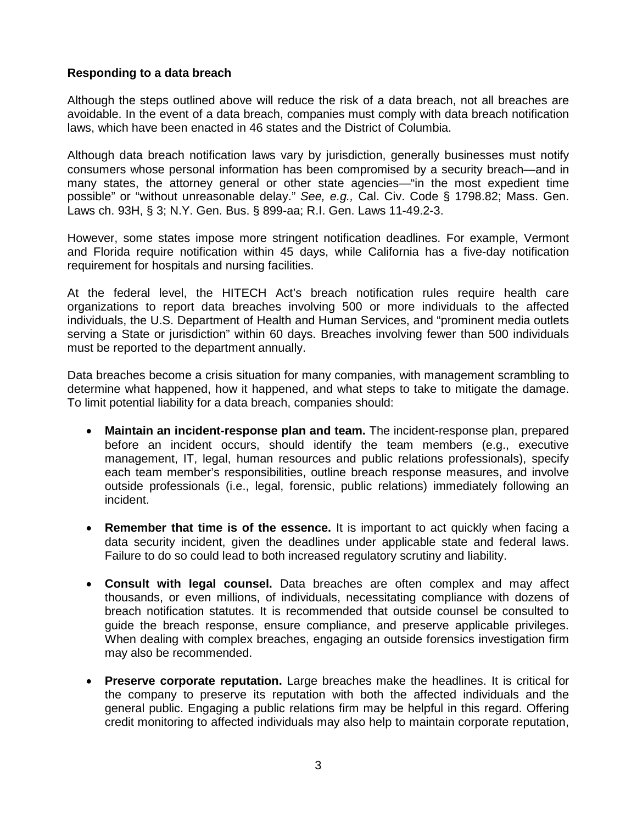## **Responding to a data breach**

Although the steps outlined above will reduce the risk of a data breach, not all breaches are avoidable. In the event of a data breach, companies must comply with data breach notification laws, which have been enacted in 46 states and the District of Columbia.

Although data breach notification laws vary by jurisdiction, generally businesses must notify consumers whose personal information has been compromised by a security breach—and in many states, the attorney general or other state agencies—"in the most expedient time possible" or "without unreasonable delay." *See, e.g.,* Cal. Civ. Code § 1798.82; Mass. Gen. Laws ch. 93H, § 3; N.Y. Gen. Bus. § 899-aa; R.I. Gen. Laws 11-49.2-3.

However, some states impose more stringent notification deadlines. For example, Vermont and Florida require notification within 45 days, while California has a five-day notification requirement for hospitals and nursing facilities.

At the federal level, the HITECH Act's breach notification rules require health care organizations to report data breaches involving 500 or more individuals to the affected individuals, the U.S. Department of Health and Human Services, and "prominent media outlets serving a State or jurisdiction" within 60 days. Breaches involving fewer than 500 individuals must be reported to the department annually.

Data breaches become a crisis situation for many companies, with management scrambling to determine what happened, how it happened, and what steps to take to mitigate the damage. To limit potential liability for a data breach, companies should:

- **Maintain an incident-response plan and team.** The incident-response plan, prepared before an incident occurs, should identify the team members (e.g., executive management, IT, legal, human resources and public relations professionals), specify each team member's responsibilities, outline breach response measures, and involve outside professionals (i.e., legal, forensic, public relations) immediately following an incident.
- **Remember that time is of the essence.** It is important to act quickly when facing a data security incident, given the deadlines under applicable state and federal laws. Failure to do so could lead to both increased regulatory scrutiny and liability.
- **Consult with legal counsel.** Data breaches are often complex and may affect thousands, or even millions, of individuals, necessitating compliance with dozens of breach notification statutes. It is recommended that outside counsel be consulted to guide the breach response, ensure compliance, and preserve applicable privileges. When dealing with complex breaches, engaging an outside forensics investigation firm may also be recommended.
- **Preserve corporate reputation.** Large breaches make the headlines. It is critical for the company to preserve its reputation with both the affected individuals and the general public. Engaging a public relations firm may be helpful in this regard. Offering credit monitoring to affected individuals may also help to maintain corporate reputation,